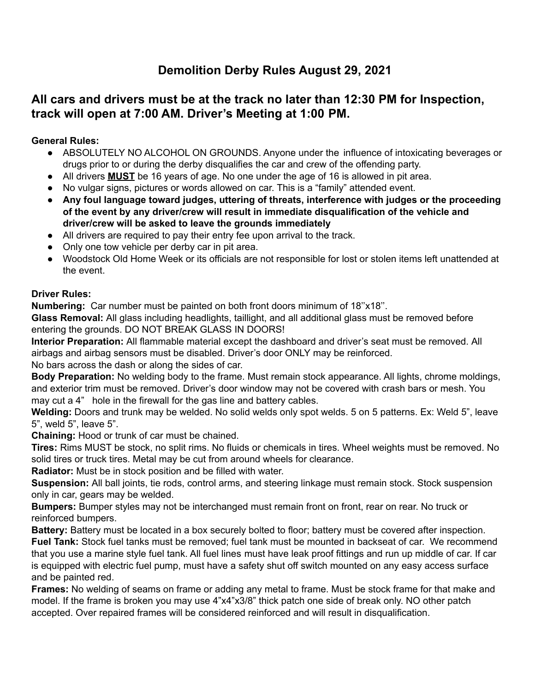# **Demolition Derby Rules August 29, 2021**

# **All cars and drivers must be at the track no later than 12:30 PM for Inspection, track will open at 7:00 AM. Driver's Meeting at 1:00 PM.**

# **General Rules:**

- ABSOLUTELY NO ALCOHOL ON GROUNDS. Anyone under the influence of intoxicating beverages or drugs prior to or during the derby disqualifies the car and crew of the offending party.
- All drivers **MUST** be 16 years of age. No one under the age of 16 is allowed in pit area.
- No vulgar signs, pictures or words allowed on car. This is a "family" attended event.
- **● Any foul language toward judges, uttering of threats, interference with judges or the proceeding of the event by any driver/crew will result in immediate disqualification of the vehicle and driver/crew will be asked to leave the grounds immediately**
- All drivers are required to pay their entry fee upon arrival to the track.
- Only one tow vehicle per derby car in pit area.
- Woodstock Old Home Week or its officials are not responsible for lost or stolen items left unattended at the event.

#### **Driver Rules:**

**Numbering:** Car number must be painted on both front doors minimum of 18''x18''.

**Glass Removal:** All glass including headlights, taillight, and all additional glass must be removed before entering the grounds. DO NOT BREAK GLASS IN DOORS!

**Interior Preparation:** All flammable material except the dashboard and driver's seat must be removed. All airbags and airbag sensors must be disabled. Driver's door ONLY may be reinforced.

No bars across the dash or along the sides of car.

**Body Preparation:** No welding body to the frame. Must remain stock appearance. All lights, chrome moldings, and exterior trim must be removed. Driver's door window may not be covered with crash bars or mesh. You may cut a 4" hole in the firewall for the gas line and battery cables.

**Welding:** Doors and trunk may be welded. No solid welds only spot welds. 5 on 5 patterns. Ex: Weld 5", leave 5", weld 5", leave 5".

**Chaining:** Hood or trunk of car must be chained.

**Tires:** Rims MUST be stock, no split rims. No fluids or chemicals in tires. Wheel weights must be removed. No solid tires or truck tires. Metal may be cut from around wheels for clearance.

**Radiator:** Must be in stock position and be filled with water.

**Suspension:** All ball joints, tie rods, control arms, and steering linkage must remain stock. Stock suspension only in car, gears may be welded.

**Bumpers:** Bumper styles may not be interchanged must remain front on front, rear on rear. No truck or reinforced bumpers.

**Battery:** Battery must be located in a box securely bolted to floor; battery must be covered after inspection. **Fuel Tank:** Stock fuel tanks must be removed; fuel tank must be mounted in backseat of car. We recommend that you use a marine style fuel tank. All fuel lines must have leak proof fittings and run up middle of car. If car is equipped with electric fuel pump, must have a safety shut off switch mounted on any easy access surface and be painted red.

**Frames:** No welding of seams on frame or adding any metal to frame. Must be stock frame for that make and model. If the frame is broken you may use 4"x4"x3/8" thick patch one side of break only. NO other patch accepted. Over repaired frames will be considered reinforced and will result in disqualification.